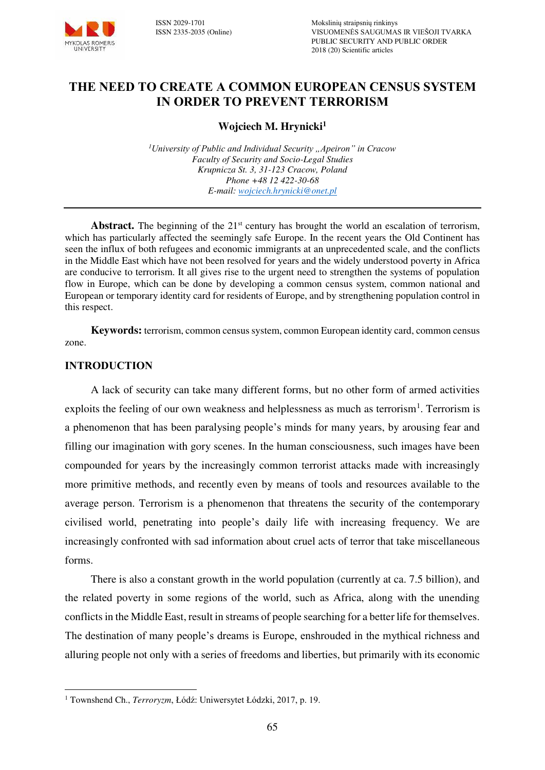

## **THE NEED TO CREATE A COMMON EUROPEAN CENSUS SYSTEM IN ORDER TO PREVENT TERRORISM**

## **Wojciech M. Hrynicki<sup>1</sup>**

<sup>1</sup>*University of Public and Individual Security ... Apeiron" in Cracow Faculty of Security and Socio-Legal Studies Krupnicza St. 3, 31-123 Cracow, Poland Phone +48 12 422-30-68 E-mail[: wojciech.hrynicki@onet.pl](mailto:wojciech.hrynicki@onet.pl)*

Abstract. The beginning of the 21<sup>st</sup> century has brought the world an escalation of terrorism, which has particularly affected the seemingly safe Europe. In the recent years the Old Continent has seen the influx of both refugees and economic immigrants at an unprecedented scale, and the conflicts in the Middle East which have not been resolved for years and the widely understood poverty in Africa are conducive to terrorism. It all gives rise to the urgent need to strengthen the systems of population flow in Europe, which can be done by developing a common census system, common national and European or temporary identity card for residents of Europe, and by strengthening population control in this respect.

**Keywords:** terrorism, common census system, common European identity card, common census zone.

### **INTRODUCTION**

A lack of security can take many different forms, but no other form of armed activities exploits the feeling of our own weakness and helplessness as much as terrorism<sup>1</sup>. Terrorism is a phenomenon that has been paralysing people's minds for many years, by arousing fear and filling our imagination with gory scenes. In the human consciousness, such images have been compounded for years by the increasingly common terrorist attacks made with increasingly more primitive methods, and recently even by means of tools and resources available to the average person. Terrorism is a phenomenon that threatens the security of the contemporary civilised world, penetrating into people's daily life with increasing frequency. We are increasingly confronted with sad information about cruel acts of terror that take miscellaneous forms.

There is also a constant growth in the world population (currently at ca. 7.5 billion), and the related poverty in some regions of the world, such as Africa, along with the unending conflicts in the Middle East, result in streams of people searching for a better life for themselves. The destination of many people's dreams is Europe, enshrouded in the mythical richness and alluring people not only with a series of freedoms and liberties, but primarily with its economic

 $\overline{a}$ 1 Townshend Ch., *Terroryzm*, Łódź: Uniwersytet Łódzki, 2017, p. 19.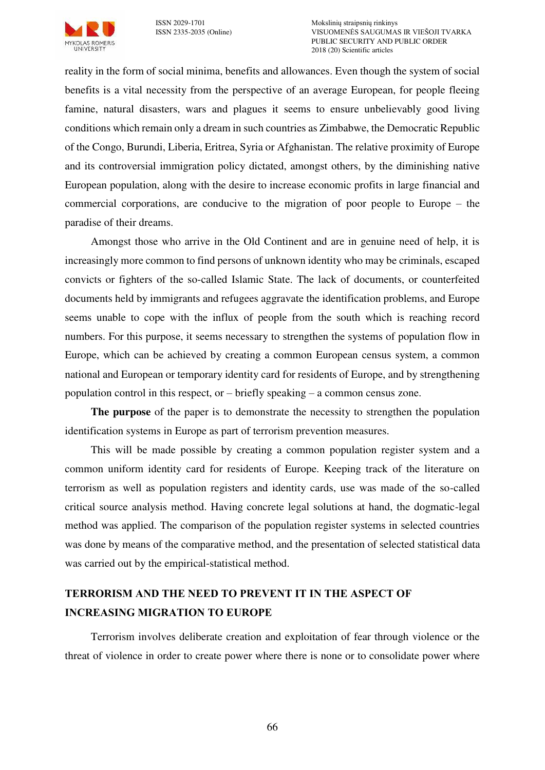

reality in the form of social minima, benefits and allowances. Even though the system of social benefits is a vital necessity from the perspective of an average European, for people fleeing famine, natural disasters, wars and plagues it seems to ensure unbelievably good living conditions which remain only a dream in such countries as Zimbabwe, the Democratic Republic of the Congo, Burundi, Liberia, Eritrea, Syria or Afghanistan. The relative proximity of Europe and its controversial immigration policy dictated, amongst others, by the diminishing native European population, along with the desire to increase economic profits in large financial and commercial corporations, are conducive to the migration of poor people to Europe – the paradise of their dreams.

Amongst those who arrive in the Old Continent and are in genuine need of help, it is increasingly more common to find persons of unknown identity who may be criminals, escaped convicts or fighters of the so-called Islamic State. The lack of documents, or counterfeited documents held by immigrants and refugees aggravate the identification problems, and Europe seems unable to cope with the influx of people from the south which is reaching record numbers. For this purpose, it seems necessary to strengthen the systems of population flow in Europe, which can be achieved by creating a common European census system, a common national and European or temporary identity card for residents of Europe, and by strengthening population control in this respect, or – briefly speaking – a common census zone.

**The purpose** of the paper is to demonstrate the necessity to strengthen the population identification systems in Europe as part of terrorism prevention measures.

This will be made possible by creating a common population register system and a common uniform identity card for residents of Europe. Keeping track of the literature on terrorism as well as population registers and identity cards, use was made of the so-called critical source analysis method. Having concrete legal solutions at hand, the dogmatic-legal method was applied. The comparison of the population register systems in selected countries was done by means of the comparative method, and the presentation of selected statistical data was carried out by the empirical-statistical method.

# **TERRORISM AND THE NEED TO PREVENT IT IN THE ASPECT OF INCREASING MIGRATION TO EUROPE**

Terrorism involves deliberate creation and exploitation of fear through violence or the threat of violence in order to create power where there is none or to consolidate power where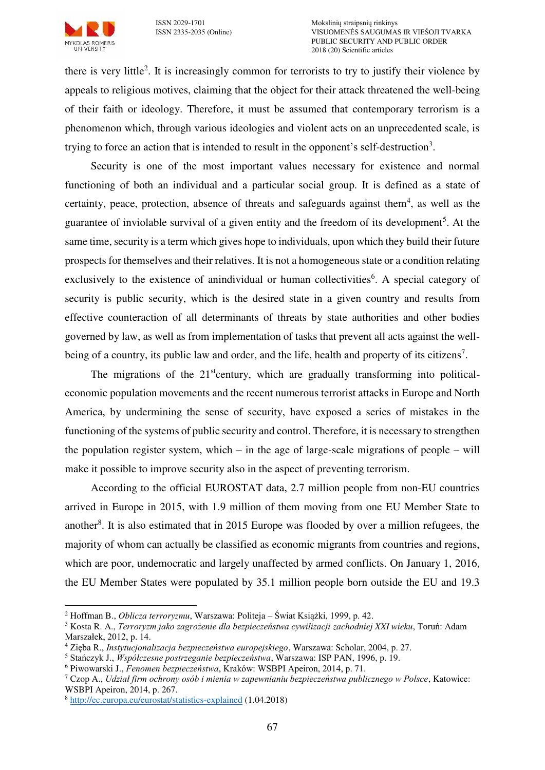

there is very little<sup>2</sup>. It is increasingly common for terrorists to try to justify their violence by appeals to religious motives, claiming that the object for their attack threatened the well-being of their faith or ideology. Therefore, it must be assumed that contemporary terrorism is a phenomenon which, through various ideologies and violent acts on an unprecedented scale, is trying to force an action that is intended to result in the opponent's self-destruction<sup>3</sup>.

Security is one of the most important values necessary for existence and normal functioning of both an individual and a particular social group. It is defined as a state of certainty, peace, protection, absence of threats and safeguards against them<sup>4</sup>, as well as the guarantee of inviolable survival of a given entity and the freedom of its development<sup>5</sup>. At the same time, security is a term which gives hope to individuals, upon which they build their future prospects for themselves and their relatives. It is not a homogeneous state or a condition relating exclusively to the existence of anindividual or human collectivities<sup>6</sup>. A special category of security is public security, which is the desired state in a given country and results from effective counteraction of all determinants of threats by state authorities and other bodies governed by law, as well as from implementation of tasks that prevent all acts against the wellbeing of a country, its public law and order, and the life, health and property of its citizens<sup>7</sup>.

The migrations of the  $21<sup>st</sup>$ century, which are gradually transforming into politicaleconomic population movements and the recent numerous terrorist attacks in Europe and North America, by undermining the sense of security, have exposed a series of mistakes in the functioning of the systems of public security and control. Therefore, it is necessary to strengthen the population register system, which – in the age of large-scale migrations of people – will make it possible to improve security also in the aspect of preventing terrorism.

According to the official EUROSTAT data, 2.7 million people from non-EU countries arrived in Europe in 2015, with 1.9 million of them moving from one EU Member State to another<sup>8</sup>. It is also estimated that in 2015 Europe was flooded by over a million refugees, the majority of whom can actually be classified as economic migrants from countries and regions, which are poor, undemocratic and largely unaffected by armed conflicts. On January 1, 2016, the EU Member States were populated by 35.1 million people born outside the EU and 19.3

 $\overline{a}$ 2 Hoffman B., *Oblicza terroryzmu*, Warszawa: Politeja – Świat Książki, 1999, p. 42.

<sup>3</sup> Kosta R. A., *Terroryzm jako zagrożenie dla bezpieczeństwa cywilizacji zachodniej XXI wieku*, Toruń: Adam Marszałek, 2012, p. 14.

<sup>4</sup> Zięba R., *Instytucjonalizacja bezpieczeństwa europejskiego*, Warszawa: Scholar, 2004, p. 27.

<sup>5</sup> Stańczyk J., *Współczesne postrzeganie bezpieczeństwa*, Warszawa: ISP PAN, 1996, p. 19.

<sup>6</sup> Piwowarski J., *Fenomen bezpieczeństwa*, Kraków: WSBPI Apeiron, 2014, p. 71.

<sup>7</sup> Czop A., *Udział firm ochrony osób i mienia w zapewnianiu bezpieczeństwa publicznego w Polsce*, Katowice: WSBPI Apeiron, 2014, p. 267.

<sup>8</sup> <http://ec.europa.eu/eurostat/statistics-explained>(1.04.2018)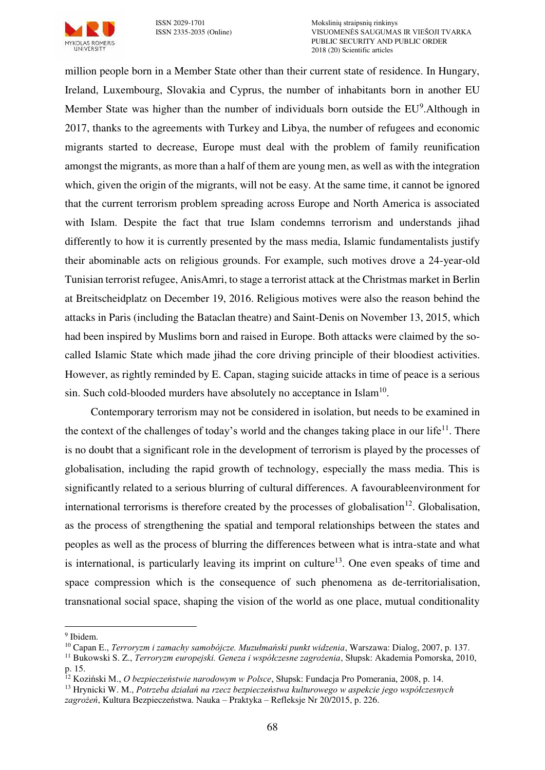

million people born in a Member State other than their current state of residence. In Hungary, Ireland, Luxembourg, Slovakia and Cyprus, the number of inhabitants born in another EU Member State was higher than the number of individuals born outside the EU<sup>9</sup>. Although in 2017, thanks to the agreements with Turkey and Libya, the number of refugees and economic migrants started to decrease, Europe must deal with the problem of family reunification amongst the migrants, as more than a half of them are young men, as well as with the integration which, given the origin of the migrants, will not be easy. At the same time, it cannot be ignored that the current terrorism problem spreading across Europe and North America is associated with Islam. Despite the fact that true Islam condemns terrorism and understands jihad differently to how it is currently presented by the mass media, Islamic fundamentalists justify their abominable acts on religious grounds. For example, such motives drove a 24-year-old Tunisian terrorist refugee, AnisAmri, to stage a terrorist attack at the Christmas market in Berlin at Breitscheidplatz on December 19, 2016. Religious motives were also the reason behind the attacks in Paris (including the Bataclan theatre) and Saint-Denis on November 13, 2015, which had been inspired by Muslims born and raised in Europe. Both attacks were claimed by the socalled Islamic State which made jihad the core driving principle of their bloodiest activities. However, as rightly reminded by E. Capan, staging suicide attacks in time of peace is a serious sin. Such cold-blooded murders have absolutely no acceptance in Islam $^{10}$ .

Contemporary terrorism may not be considered in isolation, but needs to be examined in the context of the challenges of today's world and the changes taking place in our life<sup>11</sup>. There is no doubt that a significant role in the development of terrorism is played by the processes of globalisation, including the rapid growth of technology, especially the mass media. This is significantly related to a serious blurring of cultural differences. A favourableenvironment for international terrorisms is therefore created by the processes of globalisation<sup>12</sup>. Globalisation, as the process of strengthening the spatial and temporal relationships between the states and peoples as well as the process of blurring the differences between what is intra-state and what is international, is particularly leaving its imprint on culture<sup>13</sup>. One even speaks of time and space compression which is the consequence of such phenomena as de-territorialisation, transnational social space, shaping the vision of the world as one place, mutual conditionality

 $\overline{a}$ 

<sup>&</sup>lt;sup>9</sup> Ibidem.

<sup>10</sup> Capan E., *Terroryzm i zamachy samobójcze. Muzułmański punkt widzenia*, Warszawa: Dialog, 2007, p. 137.

<sup>11</sup> Bukowski S. Z., *Terroryzm europejski. Geneza i współczesne zagrożenia*, Słupsk: Akademia Pomorska, 2010, p. 15.

<sup>12</sup> Koziński M., *O bezpieczeństwie narodowym w Polsce*, Słupsk: Fundacja Pro Pomerania, 2008, p. 14.

<sup>13</sup> Hrynicki W. M., *Potrzeba działań na rzecz bezpieczeństwa kulturowego w aspekcie jego współczesnych zagrożeń*, Kultura Bezpieczeństwa. Nauka – Praktyka – Refleksje Nr 20/2015, p. 226.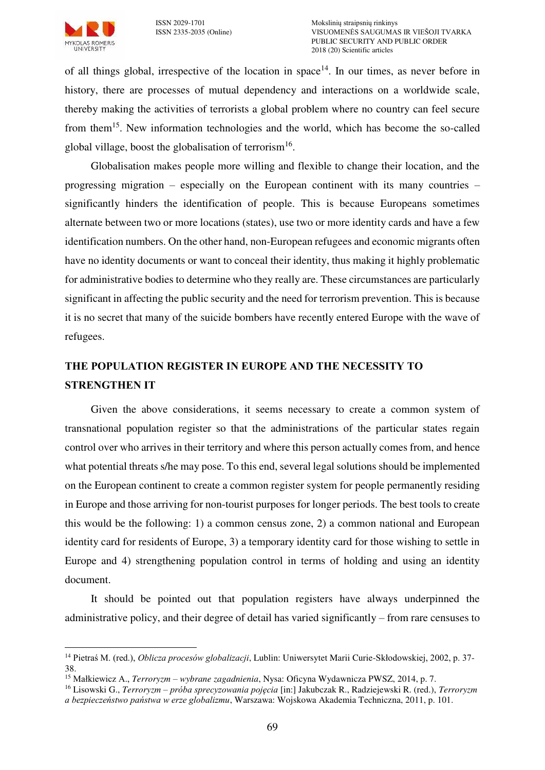

 $\overline{a}$ 

of all things global, irrespective of the location in space<sup>14</sup>. In our times, as never before in history, there are processes of mutual dependency and interactions on a worldwide scale, thereby making the activities of terrorists a global problem where no country can feel secure from them<sup>15</sup>. New information technologies and the world, which has become the so-called global village, boost the globalisation of terrorism<sup>16</sup>.

Globalisation makes people more willing and flexible to change their location, and the progressing migration – especially on the European continent with its many countries – significantly hinders the identification of people. This is because Europeans sometimes alternate between two or more locations (states), use two or more identity cards and have a few identification numbers. On the other hand, non-European refugees and economic migrants often have no identity documents or want to conceal their identity, thus making it highly problematic for administrative bodies to determine who they really are. These circumstances are particularly significant in affecting the public security and the need for terrorism prevention. This is because it is no secret that many of the suicide bombers have recently entered Europe with the wave of refugees.

# **THE POPULATION REGISTER IN EUROPE AND THE NECESSITY TO STRENGTHEN IT**

Given the above considerations, it seems necessary to create a common system of transnational population register so that the administrations of the particular states regain control over who arrives in their territory and where this person actually comes from, and hence what potential threats s/he may pose. To this end, several legal solutions should be implemented on the European continent to create a common register system for people permanently residing in Europe and those arriving for non-tourist purposes for longer periods. The best tools to create this would be the following: 1) a common census zone, 2) a common national and European identity card for residents of Europe, 3) a temporary identity card for those wishing to settle in Europe and 4) strengthening population control in terms of holding and using an identity document.

It should be pointed out that population registers have always underpinned the administrative policy, and their degree of detail has varied significantly – from rare censuses to

<sup>14</sup> Pietraś M. (red.), *Oblicza procesów globalizacji*, Lublin: Uniwersytet Marii Curie-Skłodowskiej, 2002, p. 37- 38.

<sup>15</sup> Małkiewicz A., *Terroryzm – wybrane zagadnienia*, Nysa: Oficyna Wydawnicza PWSZ, 2014, p. 7.

<sup>16</sup> Lisowski G., *Terroryzm – próba sprecyzowania pojęcia* [in:] Jakubczak R., Radziejewski R. (red.), *Terroryzm* 

*a bezpieczeństwo państwa w erze globalizmu*, Warszawa: Wojskowa Akademia Techniczna, 2011, p. 101.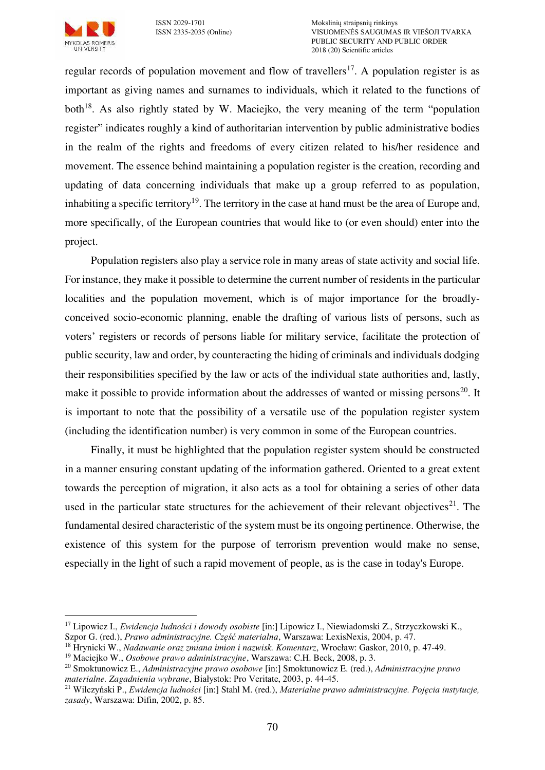

regular records of population movement and flow of travellers<sup>17</sup>. A population register is as important as giving names and surnames to individuals, which it related to the functions of both<sup>18</sup>. As also rightly stated by W. Maciejko, the very meaning of the term "population" register" indicates roughly a kind of authoritarian intervention by public administrative bodies in the realm of the rights and freedoms of every citizen related to his/her residence and movement. The essence behind maintaining a population register is the creation, recording and updating of data concerning individuals that make up a group referred to as population, inhabiting a specific territory<sup>19</sup>. The territory in the case at hand must be the area of Europe and, more specifically, of the European countries that would like to (or even should) enter into the project.

Population registers also play a service role in many areas of state activity and social life. For instance, they make it possible to determine the current number of residents in the particular localities and the population movement, which is of major importance for the broadlyconceived socio-economic planning, enable the drafting of various lists of persons, such as voters' registers or records of persons liable for military service, facilitate the protection of public security, law and order, by counteracting the hiding of criminals and individuals dodging their responsibilities specified by the law or acts of the individual state authorities and, lastly, make it possible to provide information about the addresses of wanted or missing persons<sup>20</sup>. It is important to note that the possibility of a versatile use of the population register system (including the identification number) is very common in some of the European countries.

Finally, it must be highlighted that the population register system should be constructed in a manner ensuring constant updating of the information gathered. Oriented to a great extent towards the perception of migration, it also acts as a tool for obtaining a series of other data used in the particular state structures for the achievement of their relevant objectives<sup>21</sup>. The fundamental desired characteristic of the system must be its ongoing pertinence. Otherwise, the existence of this system for the purpose of terrorism prevention would make no sense, especially in the light of such a rapid movement of people, as is the case in today's Europe.

 $\overline{a}$ <sup>17</sup> Lipowicz I., *Ewidencja ludności i dowody osobiste* [in:] Lipowicz I., Niewiadomski Z., Strzyczkowski K., Szpor G. (red.), *Prawo administracyjne. Część materialna*, Warszawa: LexisNexis, 2004, p. 47.

<sup>18</sup> Hrynicki W., *Nadawanie oraz zmiana imion i nazwisk. Komentarz*, Wrocław: Gaskor, 2010, p. 47-49.

<sup>19</sup> Maciejko W., *Osobowe prawo administracyjne*, Warszawa: C.H. Beck, 2008, p. 3.

<sup>20</sup> Smoktunowicz E., *Administracyjne prawo osobowe* [in:] Smoktunowicz E. (red.), *Administracyjne prawo materialne. Zagadnienia wybrane*, Białystok: Pro Veritate, 2003, p. 44-45.

<sup>21</sup> Wilczyński P., *Ewidencja ludności* [in:] Stahl M. (red.), *Materialne prawo administracyjne. Pojęcia instytucje, zasady*, Warszawa: Difin, 2002, p. 85.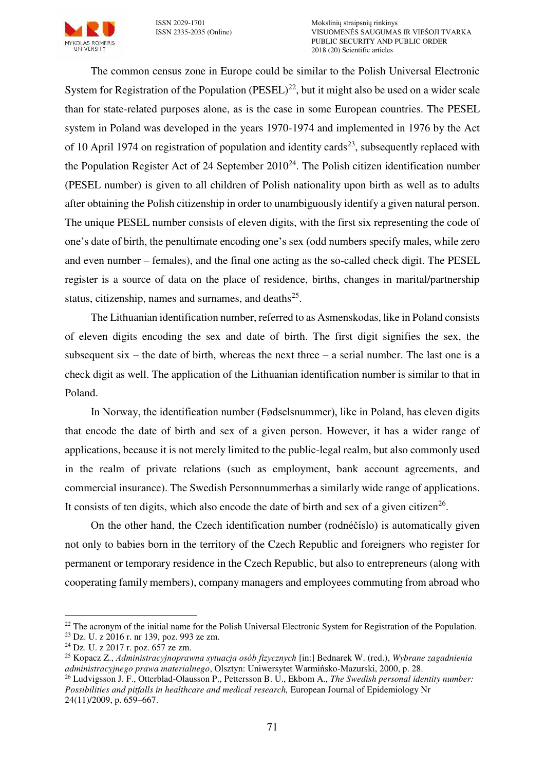

The common census zone in Europe could be similar to the Polish Universal Electronic System for Registration of the Population (PESEL)<sup>22</sup>, but it might also be used on a wider scale than for state-related purposes alone, as is the case in some European countries. The PESEL system in Poland was developed in the years 1970-1974 and implemented in 1976 by the Act of 10 April 1974 on registration of population and identity cards<sup>23</sup>, subsequently replaced with the Population Register Act of 24 September  $2010^{24}$ . The Polish citizen identification number (PESEL number) is given to all children of Polish nationality upon birth as well as to adults after obtaining the Polish citizenship in order to unambiguously identify a given natural person. The unique PESEL number consists of eleven digits, with the first six representing the code of one's date of birth, the penultimate encoding one's sex (odd numbers specify males, while zero and even number – females), and the final one acting as the so-called check digit. The PESEL register is a source of data on the place of residence, births, changes in marital/partnership status, citizenship, names and surnames, and deaths $^{25}$ .

The Lithuanian identification number, referred to as Asmenskodas, like in Poland consists of eleven digits encoding the sex and date of birth. The first digit signifies the sex, the subsequent six – the date of birth, whereas the next three – a serial number. The last one is a check digit as well. The application of the Lithuanian identification number is similar to that in Poland.

In Norway, the identification number (Fødselsnummer), like in Poland, has eleven digits that encode the date of birth and sex of a given person. However, it has a wider range of applications, because it is not merely limited to the public-legal realm, but also commonly used in the realm of private relations (such as employment, bank account agreements, and commercial insurance). The Swedish Personnummerhas a similarly wide range of applications. It consists of ten digits, which also encode the date of birth and sex of a given citizen<sup>26</sup>.

On the other hand, the Czech identification number (rodnéčíslo) is automatically given not only to babies born in the territory of the Czech Republic and foreigners who register for permanent or temporary residence in the Czech Republic, but also to entrepreneurs (along with cooperating family members), company managers and employees commuting from abroad who

 $\overline{a}$ 

<sup>&</sup>lt;sup>22</sup> The acronym of the initial name for the Polish Universal Electronic System for Registration of the Population.

<sup>23</sup> Dz. U. z 2016 r. nr 139, poz. 993 ze zm.

 $^{24}$  Dz. U. z 2017 r. poz. 657 ze zm.

<sup>25</sup> Kopacz Z., *Administracyjnoprawna sytuacja osób fizycznych* [in:] Bednarek W. (red.), *Wybrane zagadnienia administracyjnego prawa materialnego*, Olsztyn: Uniwersytet Warmińsko-Mazurski, 2000, p. 28.

<sup>26</sup> Ludvigsson J. F., Otterblad-Olausson P., Pettersson B. U., Ekbom A., *[The Swedish personal identity number:](https://www.ncbi.nlm.nih.gov/pmc/articles/PMC2773709)  [Possibilities and pitfalls in healthcare and medical research,](https://www.ncbi.nlm.nih.gov/pmc/articles/PMC2773709)* European Journal of Epidemiology Nr 24(11)/2009, p. 659–667.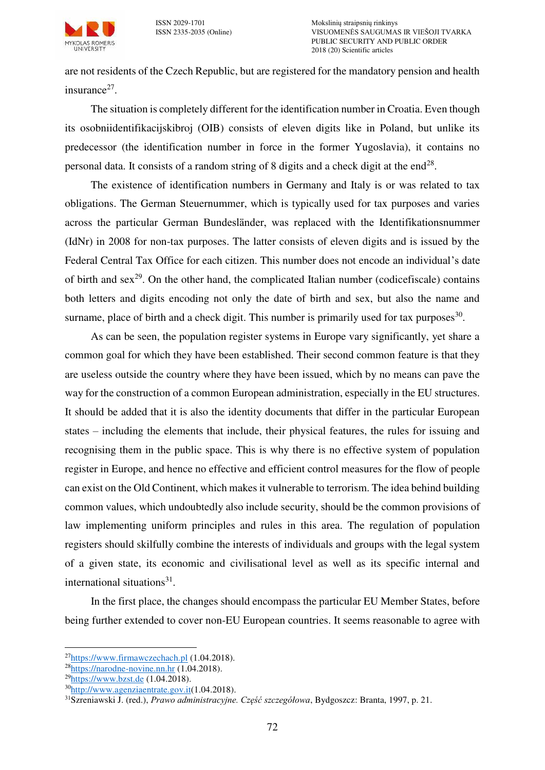

are not residents of the Czech Republic, but are registered for the mandatory pension and health insurance $27$ .

The situation is completely different for the identification number in Croatia. Even though its osobniidentifikacijskibroj (OIB) consists of eleven digits like in Poland, but unlike its predecessor (the identification number in force in the former Yugoslavia), it contains no personal data. It consists of a random string of 8 digits and a check digit at the end<sup>28</sup>.

The existence of identification numbers in Germany and Italy is or was related to tax obligations. The German Steuernummer, which is typically used for tax purposes and varies across the particular German Bundesländer, was replaced with the Identifikationsnummer (IdNr) in 2008 for non-tax purposes. The latter consists of eleven digits and is issued by the Federal Central Tax Office for each citizen. This number does not encode an individual's date of birth and  $sex^{29}$ . On the other hand, the complicated Italian number (codicefiscale) contains both letters and digits encoding not only the date of birth and sex, but also the name and surname, place of birth and a check digit. This number is primarily used for tax purposes $^{30}$ .

As can be seen, the population register systems in Europe vary significantly, yet share a common goal for which they have been established. Their second common feature is that they are useless outside the country where they have been issued, which by no means can pave the way for the construction of a common European administration, especially in the EU structures. It should be added that it is also the identity documents that differ in the particular European states – including the elements that include, their physical features, the rules for issuing and recognising them in the public space. This is why there is no effective system of population register in Europe, and hence no effective and efficient control measures for the flow of people can exist on the Old Continent, which makes it vulnerable to terrorism. The idea behind building common values, which undoubtedly also include security, should be the common provisions of law implementing uniform principles and rules in this area. The regulation of population registers should skilfully combine the interests of individuals and groups with the legal system of a given state, its economic and civilisational level as well as its specific internal and international situations<sup>31</sup>.

In the first place, the changes should encompass the particular EU Member States, before being further extended to cover non-EU European countries. It seems reasonable to agree with

 $\overline{a}$ <sup>27</sup>[https://www.firmawczechach.pl](https://www.firmawczechach.pl/) (1.04.2018).

 $28$ https://narodne-novine.nn.hr  $(1.04.2018)$ .

 $^{29}$ [https://www.bzst.de \(](https://www.bzst.de/)1.04.2018).

<sup>30</sup>[http://www.agenziaentrate.gov.it\(](http://www.agenziaentrate.gov.it/)1.04.2018).

<sup>31</sup>Szreniawski J. (red.), *Prawo administracyjne. Część szczegółowa*, Bydgoszcz: Branta, 1997, p. 21.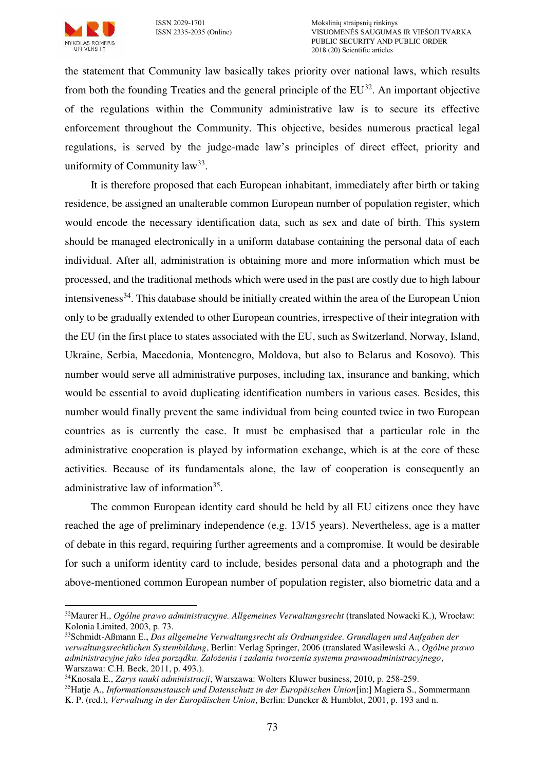

the statement that Community law basically takes priority over national laws, which results from both the founding Treaties and the general principle of the  $EU^{32}$ . An important objective of the regulations within the Community administrative law is to secure its effective enforcement throughout the Community. This objective, besides numerous practical legal regulations, is served by the judge-made law's principles of direct effect, priority and uniformity of Community  $law^{33}$ .

It is therefore proposed that each European inhabitant, immediately after birth or taking residence, be assigned an unalterable common European number of population register, which would encode the necessary identification data, such as sex and date of birth. This system should be managed electronically in a uniform database containing the personal data of each individual. After all, administration is obtaining more and more information which must be processed, and the traditional methods which were used in the past are costly due to high labour intensiveness<sup>34</sup>. This database should be initially created within the area of the European Union only to be gradually extended to other European countries, irrespective of their integration with the EU (in the first place to states associated with the EU, such as Switzerland, Norway, Island, Ukraine, Serbia, Macedonia, Montenegro, Moldova, but also to Belarus and Kosovo). This number would serve all administrative purposes, including tax, insurance and banking, which would be essential to avoid duplicating identification numbers in various cases. Besides, this number would finally prevent the same individual from being counted twice in two European countries as is currently the case. It must be emphasised that a particular role in the administrative cooperation is played by information exchange, which is at the core of these activities. Because of its fundamentals alone, the law of cooperation is consequently an administrative law of information<sup>35</sup>.

The common European identity card should be held by all EU citizens once they have reached the age of preliminary independence (e.g. 13/15 years). Nevertheless, age is a matter of debate in this regard, requiring further agreements and a compromise. It would be desirable for such a uniform identity card to include, besides personal data and a photograph and the above-mentioned common European number of population register, also biometric data and a

 $\overline{a}$ <sup>32</sup>Maurer H., *Ogólne prawo administracyjne. Allgemeines Verwaltungsrecht* (translated Nowacki K.), Wrocław: Kolonia Limited, 2003, p. 73.

<sup>33</sup>Schmidt-Aßmann E., *Das allgemeine Verwaltungsrecht als Ordnungsidee. Grundlagen und Aufgaben der verwaltungsrechtlichen Systembildung*, Berlin: Verlag Springer, 2006 (translated Wasilewski A., *Ogólne prawo administracyjne jako idea porządku. Założenia i zadania tworzenia systemu prawnoadministracyjnego*, Warszawa: C.H. Beck, 2011, p. 493.).

<sup>34</sup>Knosala E., *Zarys nauki administracji*, Warszawa: Wolters Kluwer business, 2010, p. 258-259.

<sup>35</sup>Hatje A., *Informationsaustausch und Datenschutz in der Europäischen Union*[in:] Magiera S., Sommermann

K. P. (red.), *Verwaltung in der Europäischen Union*, Berlin: Duncker & Humblot, 2001, p. 193 and n.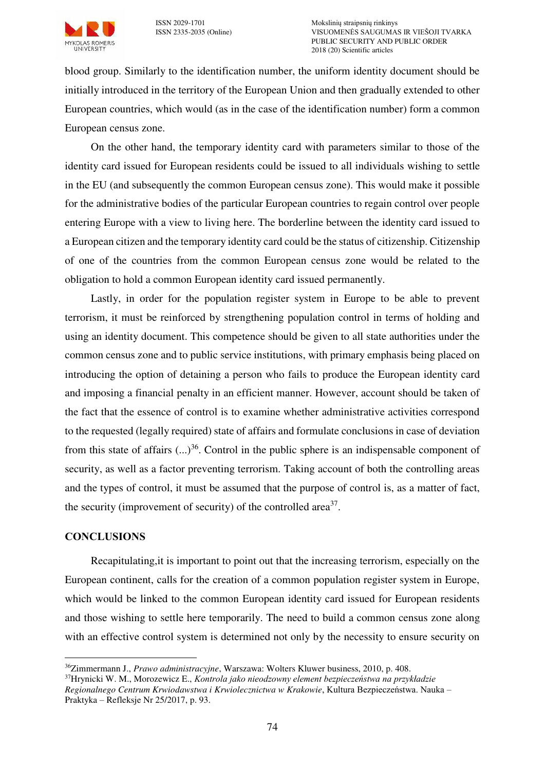

blood group. Similarly to the identification number, the uniform identity document should be initially introduced in the territory of the European Union and then gradually extended to other European countries, which would (as in the case of the identification number) form a common European census zone.

On the other hand, the temporary identity card with parameters similar to those of the identity card issued for European residents could be issued to all individuals wishing to settle in the EU (and subsequently the common European census zone). This would make it possible for the administrative bodies of the particular European countries to regain control over people entering Europe with a view to living here. The borderline between the identity card issued to a European citizen and the temporary identity card could be the status of citizenship. Citizenship of one of the countries from the common European census zone would be related to the obligation to hold a common European identity card issued permanently.

Lastly, in order for the population register system in Europe to be able to prevent terrorism, it must be reinforced by strengthening population control in terms of holding and using an identity document. This competence should be given to all state authorities under the common census zone and to public service institutions, with primary emphasis being placed on introducing the option of detaining a person who fails to produce the European identity card and imposing a financial penalty in an efficient manner. However, account should be taken of the fact that the essence of control is to examine whether administrative activities correspond to the requested (legally required) state of affairs and formulate conclusions in case of deviation from this state of affairs  $(...)^{36}$ . Control in the public sphere is an indispensable component of security, as well as a factor preventing terrorism. Taking account of both the controlling areas and the types of control, it must be assumed that the purpose of control is, as a matter of fact, the security (improvement of security) of the controlled area<sup>37</sup>.

## **CONCLUSIONS**

 $\overline{a}$ 

Recapitulating,it is important to point out that the increasing terrorism, especially on the European continent, calls for the creation of a common population register system in Europe, which would be linked to the common European identity card issued for European residents and those wishing to settle here temporarily. The need to build a common census zone along with an effective control system is determined not only by the necessity to ensure security on

<sup>36</sup>Zimmermann J., *Prawo administracyjne*, Warszawa: Wolters Kluwer business, 2010, p. 408.

<sup>37</sup>Hrynicki W. M., Morozewicz E., *Kontrola jako nieodzowny element bezpieczeństwa na przykładzie Regionalnego Centrum Krwiodawstwa i Krwiolecznictwa w Krakowie*, Kultura Bezpieczeństwa. Nauka – Praktyka – Refleksje Nr 25/2017, p. 93.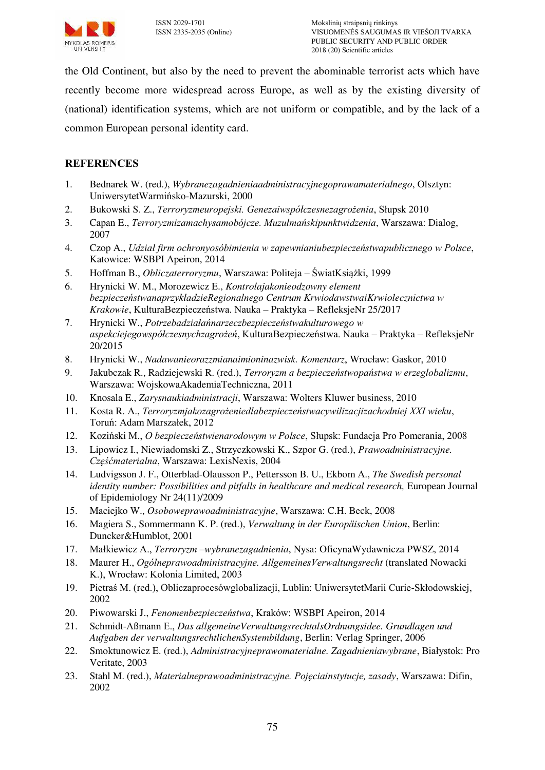

the Old Continent, but also by the need to prevent the abominable terrorist acts which have recently become more widespread across Europe, as well as by the existing diversity of (national) identification systems, which are not uniform or compatible, and by the lack of a common European personal identity card.

## **REFERENCES**

- 1. Bednarek W. (red.), *Wybranezagadnieniaadministracyjnegoprawamaterialnego*, Olsztyn: UniwersytetWarmińsko-Mazurski, 2000
- 2. Bukowski S. Z., *Terroryzmeuropejski. Genezaiwspółczesnezagrożenia*, Słupsk 2010
- 3. Capan E., *Terroryzmizamachysamobójcze. Muzułmańskipunktwidzenia*, Warszawa: Dialog, 2007
- 4. Czop A., *Udział firm ochronyosóbimienia w zapewnianiubezpieczeństwapublicznego w Polsce*, Katowice: WSBPI Apeiron, 2014
- 5. Hoffman B., *Obliczaterroryzmu*, Warszawa: Politeja ŚwiatKsiążki, 1999
- 6. Hrynicki W. M., Morozewicz E., *Kontrolajakonieodzowny element bezpieczeństwanaprzykładzieRegionalnego Centrum KrwiodawstwaiKrwiolecznictwa w Krakowie*, KulturaBezpieczeństwa. Nauka – Praktyka – RefleksjeNr 25/2017
- 7. Hrynicki W., *Potrzebadziałańnarzeczbezpieczeństwakulturowego w aspekciejegowspółczesnychzagrożeń*, KulturaBezpieczeństwa. Nauka – Praktyka – RefleksjeNr 20/2015
- 8. Hrynicki W., *Nadawanieorazzmianaimioninazwisk. Komentarz*, Wrocław: Gaskor, 2010
- 9. Jakubczak R., Radziejewski R. (red.), *Terroryzm a bezpieczeństwopaństwa w erzeglobalizmu*, Warszawa: WojskowaAkademiaTechniczna, 2011
- 10. Knosala E., *Zarysnaukiadministracji*, Warszawa: Wolters Kluwer business, 2010
- 11. Kosta R. A., *Terroryzmjakozagrożeniedlabezpieczeństwacywilizacjizachodniej XXI wieku*, Toruń: Adam Marszałek, 2012
- 12. Koziński M., *O bezpieczeństwienarodowym w Polsce*, Słupsk: Fundacja Pro Pomerania, 2008
- 13. Lipowicz I., Niewiadomski Z., Strzyczkowski K., Szpor G. (red.), *Prawoadministracyjne. Częśćmaterialna*, Warszawa: LexisNexis, 2004
- 14. Ludvigsson J. F., Otterblad-Olausson P., Pettersson B. U., Ekbom A., *[The Swedish personal](https://www.ncbi.nlm.nih.gov/pmc/articles/PMC2773709)  [identity number: Possibilities and pitfalls in healthcare and medical research,](https://www.ncbi.nlm.nih.gov/pmc/articles/PMC2773709)* European Journal of Epidemiology Nr 24(11)/2009
- 15. Maciejko W., *Osoboweprawoadministracyjne*, Warszawa: C.H. Beck, 2008
- 16. Magiera S., Sommermann K. P. (red.), *Verwaltung in der Europäischen Union*, Berlin: Duncker&Humblot, 2001
- 17. Małkiewicz A., *Terroryzm –wybranezagadnienia*, Nysa: OficynaWydawnicza PWSZ, 2014
- 18. Maurer H., *Ogólneprawoadministracyjne. AllgemeinesVerwaltungsrecht* (translated Nowacki K.), Wrocław: Kolonia Limited, 2003
- 19. Pietraś M. (red.), Obliczaprocesówglobalizacji, Lublin: UniwersytetMarii Curie-Skłodowskiej, 2002
- 20. Piwowarski J., *Fenomenbezpieczeństwa*, Kraków: WSBPI Apeiron, 2014
- 21. Schmidt-Aßmann E., *Das allgemeineVerwaltungsrechtalsOrdnungsidee. Grundlagen und Aufgaben der verwaltungsrechtlichenSystembildung*, Berlin: Verlag Springer, 2006
- 22. Smoktunowicz E. (red.), *Administracyjneprawomaterialne. Zagadnieniawybrane*, Białystok: Pro Veritate, 2003
- 23. Stahl M. (red.), *Materialneprawoadministracyjne. Pojęciainstytucje, zasady*, Warszawa: Difin, 2002